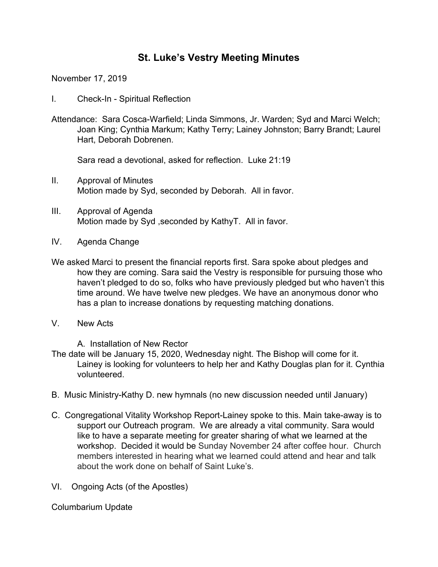# **St. Luke's Vestry Meeting Minutes**

November 17, 2019

- I. Check-In Spiritual Reflection
- Attendance: Sara Cosca-Warfield; Linda Simmons, Jr. Warden; Syd and Marci Welch; Joan King; Cynthia Markum; Kathy Terry; Lainey Johnston; Barry Brandt; Laurel Hart, Deborah Dobrenen.

Sara read a devotional, asked for reflection. Luke 21:19

- II. Approval of Minutes Motion made by Syd, seconded by Deborah. All in favor.
- III. Approval of Agenda Motion made by Syd ,seconded by KathyT. All in favor.
- IV. Agenda Change
- We asked Marci to present the financial reports first. Sara spoke about pledges and how they are coming. Sara said the Vestry is responsible for pursuing those who haven't pledged to do so, folks who have previously pledged but who haven't this time around. We have twelve new pledges. We have an anonymous donor who has a plan to increase donations by requesting matching donations.
- V. New Acts

A. Installation of New Rector

- The date will be January 15, 2020, Wednesday night. The Bishop will come for it. Lainey is looking for volunteers to help her and Kathy Douglas plan for it. Cynthia volunteered.
- B. Music Ministry-Kathy D. new hymnals (no new discussion needed until January)
- C. Congregational Vitality Workshop Report-Lainey spoke to this. Main take-away is to support our Outreach program. We are already a vital community. Sara would like to have a separate meeting for greater sharing of what we learned at the workshop. Decided it would be Sunday November 24 after coffee hour. Church members interested in hearing what we learned could attend and hear and talk about the work done on behalf of Saint Luke's.
- VI. Ongoing Acts (of the Apostles)

Columbarium Update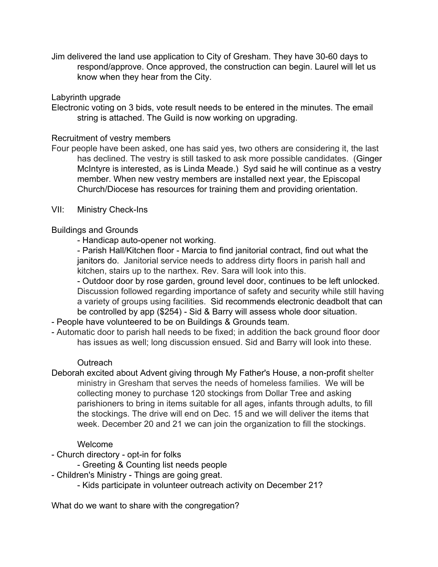Jim delivered the land use application to City of Gresham. They have 30-60 days to respond/approve. Once approved, the construction can begin. Laurel will let us know when they hear from the City.

#### Labyrinth upgrade

Electronic voting on 3 bids, vote result needs to be entered in the minutes. The email string is attached. The Guild is now working on upgrading.

## Recruitment of vestry members

Four people have been asked, one has said yes, two others are considering it, the last has declined. The vestry is still tasked to ask more possible candidates. (Ginger McIntyre is interested, as is Linda Meade.) Syd said he will continue as a vestry member. When new vestry members are installed next year, the Episcopal Church/Diocese has resources for training them and providing orientation.

## VII: Ministry Check-Ins

## Buildings and Grounds

- Handicap auto-opener not working.

- Parish Hall/Kitchen floor - Marcia to find janitorial contract, find out what the janitors do. Janitorial service needs to address dirty floors in parish hall and kitchen, stairs up to the narthex. Rev. Sara will look into this.

- Outdoor door by rose garden, ground level door, continues to be left unlocked. Discussion followed regarding importance of safety and security while still having a variety of groups using facilities. Sid recommends electronic deadbolt that can be controlled by app (\$254) - Sid & Barry will assess whole door situation.

- People have volunteered to be on Buildings & Grounds team.
- Automatic door to parish hall needs to be fixed; in addition the back ground floor door has issues as well; long discussion ensued. Sid and Barry will look into these.

#### **Outreach**

Deborah excited about Advent giving through My Father's House, a non-profit shelter ministry in Gresham that serves the needs of homeless families. We will be collecting money to purchase 120 stockings from Dollar Tree and asking parishioners to bring in items suitable for all ages, infants through adults, to fill the stockings. The drive will end on Dec. 15 and we will deliver the items that week. December 20 and 21 we can join the organization to fill the stockings.

## Welcome

- Church directory opt-in for folks
	- Greeting & Counting list needs people
- Children's Ministry Things are going great.
	- Kids participate in volunteer outreach activity on December 21?

What do we want to share with the congregation?